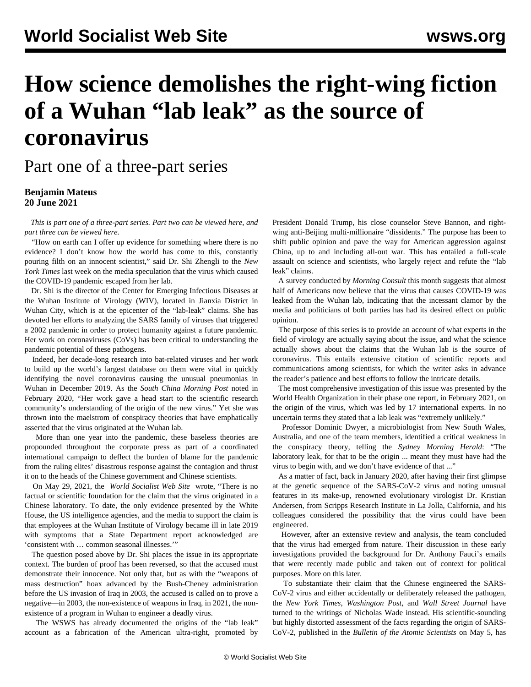# **How science demolishes the right-wing fiction of a Wuhan "lab leak" as the source of coronavirus**

Part one of a three-part series

## **Benjamin Mateus 20 June 2021**

 *This is part one of a three-part series. Part two can be viewed [here](/en/articles/2021/06/22/sci2-j22.html), and part three can be viewed [here.](/en/articles/2021/06/23/sci3-j23.html)*

 "How on earth can I offer up evidence for something where there is no evidence? I don't know how the world has come to this, constantly pouring filth on an innocent scientist," said Dr. Shi Zhengli to the *New York Times* last week on the media speculation that the virus which caused the COVID-19 pandemic escaped from her lab.

 Dr. Shi is the director of the Center for Emerging Infectious Diseases at the Wuhan Institute of Virology (WIV), located in Jianxia District in Wuhan City, which is at the epicenter of the "lab-leak" claims. She has devoted her efforts to analyzing the SARS family of viruses that triggered a 2002 pandemic in order to protect humanity against a future pandemic. Her work on coronaviruses (CoVs) has been critical to understanding the pandemic potential of these pathogens.

 Indeed, her decade-long research into bat-related viruses and her work to build up the world's largest database on them were vital in quickly identifying the novel coronavirus causing the unusual pneumonias in Wuhan in December 2019. As the *South China Morning Post* noted in February 2020, "Her work gave a head start to the scientific research community's understanding of the origin of the new virus." Yet she was thrown into the maelstrom of conspiracy theories that have emphatically asserted that the virus originated at the Wuhan lab.

 More than one year into the pandemic, these baseless theories are propounded throughout the corporate press as part of a coordinated international campaign to deflect the burden of blame for the pandemic from the ruling elites' disastrous response against the contagion and thrust it on to the heads of the Chinese government and Chinese scientists.

 On May 29, 2021, the *[World Socialist Web Site](/en/articles/2021/05/29/pers-m29.html)* [wrote,](/en/articles/2021/05/29/pers-m29.html) "There is no factual or scientific foundation for the claim that the virus originated in a Chinese laboratory. To date, the only evidence presented by the White House, the US intelligence agencies, and the media to support the claim is that employees at the Wuhan Institute of Virology became ill in late 2019 with symptoms that a State Department report acknowledged are 'consistent with … common seasonal illnesses.'"

 The question posed above by Dr. Shi places the issue in its appropriate context. The burden of proof has been reversed, so that the accused must demonstrate their innocence. Not only that, but as with the "weapons of mass destruction" hoax advanced by the Bush-Cheney administration before the US invasion of Iraq in 2003, the accused is called on to prove a negative—in 2003, the non-existence of weapons in Iraq, in 2021, the nonexistence of a program in Wuhan to engineer a deadly virus.

 The WSWS has already [documented](/en/articles/2021/05/31/wuha-m31.html) the origins of the "lab leak" account as a fabrication of the American ultra-right, promoted by President Donald Trump, his close counselor Steve Bannon, and rightwing anti-Beijing multi-millionaire "dissidents." The purpose has been to shift public opinion and pave the way for American aggression against China, up to and including all-out war. This has entailed a full-scale [assault on science](/en/articles/2021/06/05/pers-j05.html) and scientists, who largely reject and refute the "lab leak" claims.

 A survey conducted by *Morning Consult* this month suggests that almost half of Americans now believe that the virus that causes COVID-19 was leaked from the Wuhan lab, indicating that the incessant clamor by the media and politicians of both parties has had its desired effect on public opinion.

 The purpose of this series is to provide an account of what experts in the field of virology are actually saying about the issue, and what the science actually shows about the claims that the Wuhan lab is the source of coronavirus. This entails extensive citation of scientific reports and communications among scientists, for which the writer asks in advance the reader's patience and best efforts to follow the intricate details.

 The most comprehensive investigation of this issue was presented by the World Health Organization in their phase one [report](https://www.who.int/health-topics/coronavirus/origins-of-the-virus), in February 2021, on the origin of the virus, which was led by 17 international experts. In no uncertain terms they stated that a lab leak was "extremely unlikely."

 Professor Dominic Dwyer, a microbiologist from New South Wales, Australia, and one of the team members, identified a critical weakness in the conspiracy theory, telling the *Sydney Morning Herald*: "The laboratory leak, for that to be the origin ... meant they must have had the virus to begin with, and we don't have evidence of that ..."

 As a matter of fact, back in January 2020, after having their first glimpse at the genetic sequence of the SARS-CoV-2 virus and noting unusual features in its make-up, renowned evolutionary virologist Dr. Kristian Andersen, from Scripps Research Institute in La Jolla, California, and his colleagues considered the possibility that the virus could have been engineered.

 However, after an extensive review and analysis, the team concluded that the virus had emerged from nature. Their discussion in these early investigations provided the background for Dr. Anthony Fauci's [emails](https://www.newsweek.com/fauci-emails-kristian-andersen-scientist-defends-article-debunking-lab-leak-hypothesis-1596727) that were recently made public and taken out of context for political purposes. More on this later.

 To substantiate their claim that the Chinese engineered the SARS-CoV-2 virus and either accidentally or deliberately released the pathogen, the *New York Times*, *Washington Post*, and *Wall Street Journal* have turned to the writings of [Nicholas Wade](https://thebulletin.org/2021/05/the-origin-of-covid-did-people-or-nature-open-pandoras-box-at-wuhan/) instead. His scientific-sounding but highly distorted assessment of the facts regarding the origin of SARS-CoV-2, published in the *Bulletin of the Atomic Scientists* on May 5, has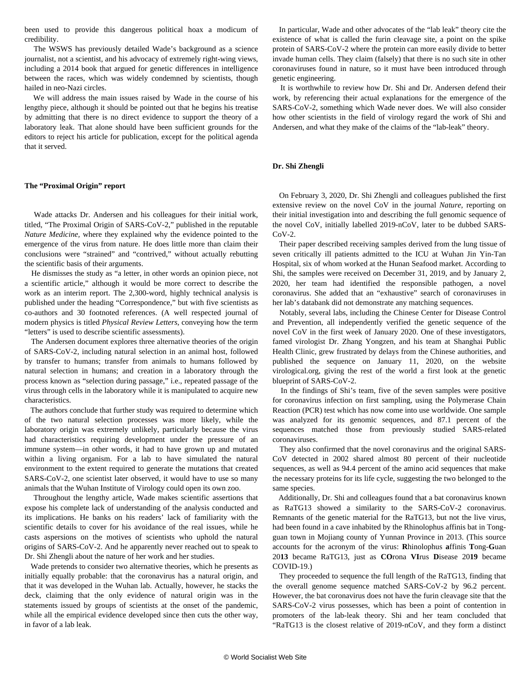been used to provide this dangerous political hoax a modicum of credibility.

 The WSWS has previously [detailed Wade's background](/en/articles/2021/06/07/wade-j07.html) as a science journalist, not a scientist, and his advocacy of extremely right-wing views, including a 2014 book that argued for genetic differences in intelligence between the races, which was widely condemned by scientists, though hailed in neo-Nazi circles.

 We will address the main issues raised by Wade in the course of his lengthy piece, although it should be pointed out that he begins his treatise by admitting that there is no direct evidence to support the theory of a laboratory leak. That alone should have been sufficient grounds for the editors to reject his article for publication, except for the political agenda that it served.

### **The "Proximal Origin" report**

 Wade attacks Dr. Andersen and his colleagues for their initial work, titled, "The Proximal Origin of SARS-CoV-2," published in the reputable *Nature Medicine,* where they explained why the evidence pointed to the emergence of the virus from nature. He does little more than claim their conclusions were "strained" and "contrived," without actually rebutting the scientific basis of their arguments.

 He dismisses the study as "a letter, in other words an opinion piece, not a scientific article," although it would be more correct to describe the work as an interim report. The 2,300-word, highly technical analysis is published under the heading "Correspondence," but with five scientists as co-authors and 30 footnoted references. (A well respected journal of modern physics is titled *Physical Review Letters*, conveying how the term "letters" is used to describe scientific assessments).

 The Andersen document explores three alternative theories of the origin of SARS-CoV-2, including natural selection in an animal host, followed by transfer to humans; transfer from animals to humans followed by natural selection in humans; and creation in a laboratory through the process known as "selection during passage," i.e., repeated passage of the virus through cells in the laboratory while it is manipulated to acquire new characteristics.

 The authors conclude that further study was required to determine which of the two natural selection processes was more likely, while the laboratory origin was extremely unlikely, particularly because the virus had characteristics requiring development under the pressure of an immune system—in other words, it had to have grown up and mutated within a living organism. For a lab to have simulated the natural environment to the extent required to generate the mutations that created SARS-CoV-2, one scientist later observed, it would have to use so many animals that the Wuhan Institute of Virology could open its own zoo.

 Throughout the lengthy article, Wade makes scientific assertions that expose his complete lack of understanding of the analysis conducted and its implications. He banks on his readers' lack of familiarity with the scientific details to cover for his avoidance of the real issues, while he casts aspersions on the motives of scientists who uphold the natural origins of SARS-CoV-2. And he apparently never reached out to speak to Dr. Shi Zhengli about the nature of her work and her studies.

 Wade pretends to consider two alternative theories, which he presents as initially equally probable: that the coronavirus has a natural origin, and that it was developed in the Wuhan lab. Actually, however, he stacks the deck, claiming that the only evidence of natural origin was in the statements issued by groups of scientists at the onset of the pandemic, while all the empirical evidence developed since then cuts the other way, in favor of a lab leak.

 In particular, Wade and other advocates of the "lab leak" theory cite the existence of what is called the furin cleavage site, a point on the spike protein of SARS-CoV-2 where the protein can more easily divide to better invade human cells. They claim (falsely) that there is no such site in other coronaviruses found in nature, so it must have been introduced through genetic engineering.

 It is worthwhile to review how Dr. Shi and Dr. Andersen defend their work, by referencing their actual explanations for the emergence of the SARS-CoV-2, something which Wade never does. We will also consider how other scientists in the field of virology regard the work of Shi and Andersen, and what they make of the claims of the "lab-leak" theory.

#### **Dr. Shi Zhengli**

 On February 3, 2020, Dr. Shi Zhengli and colleagues published the first extensive review on the novel CoV in the journal *Nature,* reporting on their initial investigation into and describing the full genomic sequence of the novel CoV, initially labelled 2019-nCoV, later to be dubbed SARS-CoV-2.

 Their [paper](https://www.nature.com/articles/s41586-020-2012-7) described receiving samples derived from the lung tissue of seven critically ill patients admitted to the ICU at Wuhan Jin Yin-Tan Hospital, six of whom worked at the Hunan Seafood market. According to Shi, the samples were received on December 31, 2019, and by January 2, 2020, her team had identified the responsible pathogen, a novel coronavirus. She added that an "exhaustive" search of coronaviruses in her lab's databank did not demonstrate any matching sequences.

 Notably, several labs, including the Chinese Center for Disease Control and Prevention, all [independently](/en/articles/2020/06/09/who-j09.html) verified the genetic sequence of the novel CoV in the first week of January 2020. One of these investigators, famed virologist Dr. Zhang Yongzen, and his team at Shanghai Public Health Clinic, grew frustrated by delays from the Chinese authorities, and published the sequence on January 11, 2020, on the website virological.org, giving the rest of the world a first look at the genetic blueprint of SARS-CoV-2.

 In the findings of Shi's team, five of the seven samples were positive for coronavirus infection on first sampling, using the Polymerase Chain Reaction (PCR) test which has now come into use worldwide. One sample was analyzed for its genomic sequences, and 87.1 percent of the sequences matched those from previously studied SARS-related coronaviruses.

 They also confirmed that the novel coronavirus and the original SARS-CoV detected in 2002 shared almost 80 percent of their nucleotide sequences, as well as 94.4 percent of the amino acid sequences that make the necessary proteins for its life cycle, suggesting the two belonged to the same species.

 Additionally, Dr. Shi and colleagues found that a bat coronavirus known as RaTG13 showed a similarity to the SARS-CoV-2 coronavirus. Remnants of the genetic material for the RaTG13, but not the live virus, had been found in a cave inhabited by the Rhinolophus affinis bat in Tongguan town in Mojiang county of Yunnan Province in 2013. (This source accounts for the acronym of the virus: **R**hinolophus **a**ffinis **T**ong-**G**uan 20**13** became RaTG13, just as **CO**rona **VI**rus **D**isease 20**19** became COVID-19.)

 They proceeded to sequence the full length of the RaTG13, finding that the overall genome sequence matched SARS-CoV-2 by 96.2 percent. However, the bat coronavirus does not have the furin cleavage site that the SARS-CoV-2 virus possesses, which has been a point of contention in promoters of the lab-leak theory. Shi and her team concluded that "RaTG13 is the closest relative of 2019-nCoV, and they form a distinct